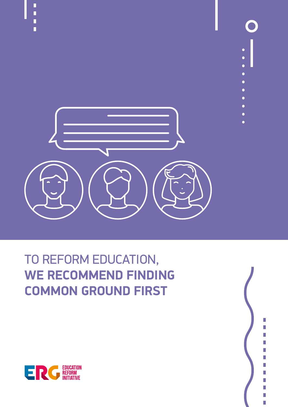

# TO REFORM EDUCATION, **WE RECOMMEND FINDING COMMON GROUND FIRST**



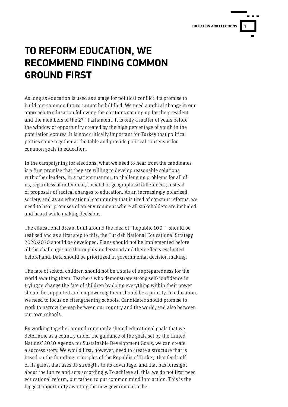

### **TO REFORM EDUCATION, WE RECOMMEND FINDING COMMON GROUND FIRST**

As long as education is used as a stage for political conflict, its promise to build our common future cannot be fulfilled. We need a radical change in our approach to education following the elections coming up for the president and the members of the 27<sup>th</sup> Parliament. It is only a matter of years before the window of opportunity created by the high percentage of youth in the population expires. It is now critically important for Turkey that political parties come together at the table and provide political consensus for common goals in education.

In the campaigning for elections, what we need to hear from the candidates is a firm promise that they are willing to develop reasonable solutions with other leaders, in a patient manner, to challenging problems for all of us, regardless of individual, societal or geographical differences, instead of proposals of radical changes to education. As an increasingly polarized society, and as an educational community that is tired of constant reforms, we need to hear promises of an environment where all stakeholders are included and heard while making decisions.

The educational dream built around the idea of "Republic 100+" should be realized and as a first step to this, the Turkish National Educational Strategy 2020-2030 should be developed. Plans should not be implemented before all the challenges are thoroughly understood and their effects evaluated beforehand. Data should be prioritized in governmental decision making.

The fate of school children should not be a state of unpreparedness for the world awaiting them. Teachers who demonstrate strong self-confidence in trying to change the fate of children by doing everything within their power should be supported and empowering them should be a priority. In education, we need to focus on strengthening schools. Candidates should promise to work to narrow the gap between our country and the world, and also between our own schools.

By working together around commonly shared educational goals that we determine as a country under the guidance of the goals set by the United Nations' 2030 Agenda for Sustainable Development Goals, we can create a success story. We would first, however, need to create a structure that is based on the founding principles of the Republic of Turkey, that feeds off of its gains, that uses its strengths to its advantage, and that has foresight about the future and acts accordingly. To achieve all this, we do not first need educational reform, but rather, to put common mind into action. This is the biggest opportunity awaiting the new government to be.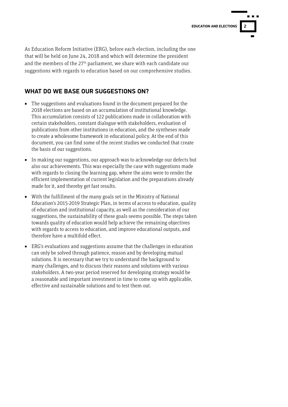

As Education Reform Initiative (ERG), before each election, including the one that will be held on June 24, 2018 and which will determine the president and the members of the  $27<sup>th</sup>$  parliament, we share with each candidate our suggestions with regards to education based on our comprehensive studies.

#### **WHAT DO WE BASE OUR SUGGESTIONS ON?**

- The suggestions and evaluations found in the document prepared for the 2018 elections are based on an accumulation of institutional knowledge. This accumulation consists of 122 publications made in collaboration with certain stakeholders, constant dialogue with stakeholders, evaluation of publications from other institutions in education, and the syntheses made to create a wholesome framework in educational policy. At the end of this document, you can find some of the recent studies we conducted that create the basis of our suggestions.
- In making our suggestions, our approach was to acknowledge our defects but also our achievements. This was especially the case with suggestions made with regards to closing the learning gap, where the aims were to render the efficient implementation of current legislation and the preparations already made for it, and thereby get fast results.
- With the fulfillment of the many goals set in the Ministry of National Education's 2015-2019 Strategic Plan, in terms of access to education, quality of education and institutional capacity, as well as the consideration of our suggestions, the sustainability of these goals seems possible. The steps taken towards quality of education would help achieve the remaining objectives with regards to access to education, and improve educational outputs, and therefore have a multifold effect.
- ERG's evaluations and suggestions assume that the challenges in education can only be solved through patience, reason and by developing mutual solutions. It is necessary that we try to understand the background to many challenges, and to discuss their reasons and solutions with various stakeholders. A two-year period reserved for developing strategy would be a reasonable and important investment in time to come up with applicable, effective and sustainable solutions and to test them out.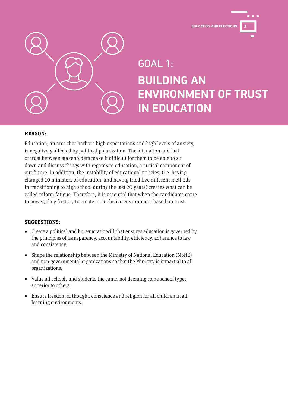**EDUCATION AND ELECTIONS 3**



## GOAL 1: **BUILDING AN ENVIRONMENT OF TRUST IN EDUCATION**

#### **REASON:**

Education, an area that harbors high expectations and high levels of anxiety, is negatively affected by political polarization. The alienation and lack of trust between stakeholders make it difficult for them to be able to sit down and discuss things with regards to education, a critical component of our future. In addition, the instability of educational policies, (i.e. having changed 10 ministers of education, and having tried five different methods in transitioning to high school during the last 20 years) creates what can be called reform fatigue. Therefore, it is essential that when the candidates come to power, they first try to create an inclusive environment based on trust.

#### **SUGGESTIONS:**

- Create a political and bureaucratic will that ensures education is governed by the principles of transparency, accountability, efficiency, adherence to law and consistency;
- Shape the relationship between the Ministry of National Education (MoNE) and non-governmental organizations so that the Ministry is impartial to all organizations;
- Value all schools and students the same, not deeming some school types superior to others;
- Ensure freedom of thought, conscience and religion for all children in all learning environments.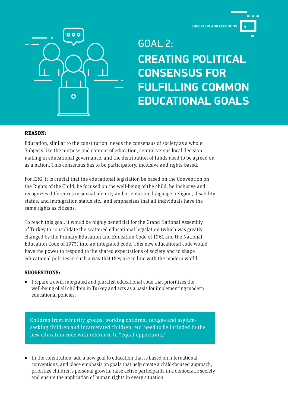**EDUCATION AND ELECTIONS 4**



GOAL 2: **CREATING POLITICAL CONSENSUS FOR FULFILLING COMMON EDUCATIONAL GOALS**

#### **REASON:**

Education, similar to the constitution, needs the consensus of society as a whole. Subjects like the purpose and content of education, central versus local decision making in educational governance, and the distribution of funds need to be agreed on as a nation. This consensus has to be participatory, inclusive and rights-based.

For ERG, it is crucial that the educational legislation be based on the Convention on the Rights of the Child, be focused on the well-being of the child, be inclusive and recognizes differences in sexual identity and orientation, language, religion, disability status, and immigration status etc., and emphasizes that all individuals have the same rights as citizens.

To reach this goal, it would be highly beneficial for the Grand National Assembly of Turkey to consolidate the scattered educational legislation (which was greatly changed by the Primary Education and Education Code of 1961 and the National Education Code of 1973) into an integrated code. This new educational code would have the power to respond to the shared expectations of society and to shape educational policies in such a way that they are in line with the modern world.

#### **SUGGESTIONS:**

■ Prepare a civil, integrated and pluralist educational code that prioritizes the well-being of all children in Turkey and acts as a basis for implementing modern educational policies;

Children from minority groups, working children, refugee and asylumseeking children and incarcerated children, etc. need to be included in the new education code with reference to "equal opportunity".

■ In the constitution, add a new goal to education that is based on international conventions, and place emphasis on goals that help create a child-focused approach, prioritize children's personal growth, raise active participants in a democratic society and ensure the application of human rights in every situation.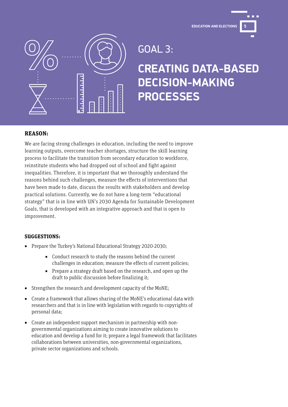

GOAL 3:

## **CREATING DATA-BASED DECISION-MAKING PROCESSES**

#### **REASON:**

We are facing strong challenges in education, including the need to improve learning outputs, overcome teacher shortages, structure the skill learning process to facilitate the transition from secondary education to workforce, reinstitute students who had dropped out of school and fight against inequalities. Therefore, it is important that we thoroughly understand the reasons behind such challenges, measure the effects of interventions that have been made to date, discuss the results with stakeholders and develop practical solutions. Currently, we do not have a long-term "educational strategy" that is in line with UN's 2030 Agenda for Sustainable Development Goals, that is developed with an integrative approach and that is open to improvement.

#### **SUGGESTIONS:**

- Prepare the Turkey's National Educational Strategy 2020-2030;
	- Conduct research to study the reasons behind the current challenges in education; measure the effects of current policies;
	- Prepare a strategy draft based on the research, and open up the draft to public discussion before finalizing it;
- Strengthen the research and development capacity of the MoNE;
- Create a framework that allows sharing of the MoNE's educational data with researchers and that is in line with legislation with regards to copyrights of personal data;
- Create an independent support mechanism in partnership with nongovernmental organizations aiming to create innovative solutions to education and develop a fund for it; prepare a legal framework that facilitates collaborations between universities, non-governmental organizations, private sector organizations and schools.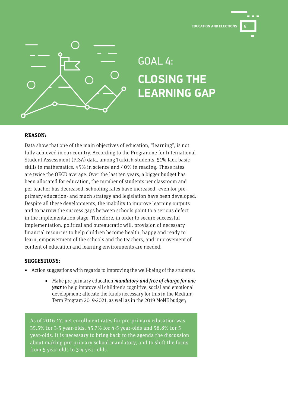



# GOAL 4: **CLOSING THE LEARNING GAP**

#### **REASON:**

Data show that one of the main objectives of education, "learning", is not fully achieved in our country. According to the Programme for International Student Assessment (PISA) data, among Turkish students, 51% lack basic skills in mathematics, 45% in science and 40% in reading. These rates are twice the OECD average. Over the last ten years, a bigger budget has been allocated for education, the number of students per classroom and per teacher has decreased, schooling rates have increased -even for preprimary education- and much strategy and legislation have been developed. Despite all these developments, the inability to improve learning outputs and to narrow the success gaps between schools point to a serious defect in the implementation stage. Therefore, in order to secure successful implementation, political and bureaucratic will, provision of necessary financial resources to help children become health, happy and ready to learn, empowerment of the schools and the teachers, and improvement of content of education and learning environments are needed.

#### **SUGGESTIONS:**

- Action suggestions with regards to improving the well-being of the students;
	- Make pre-primary education *mandatory and free of charge for one* year to help improve all children's cognitive, social and emotional development; allocate the funds necessary for this in the Medium-Term Program 2019-2021, as well as in the 2019 MoNE budget;

As of 2016-17, net enrollment rates for pre-primary education was 35.5% for 3-5 year-olds, 45.7% for 4-5 year-olds and 58.8% for 5 year-olds. It is necessary to bring back to the agenda the discussion about making pre-primary school mandatory, and to shift the focus from 5 year-olds to 3-4 year-olds.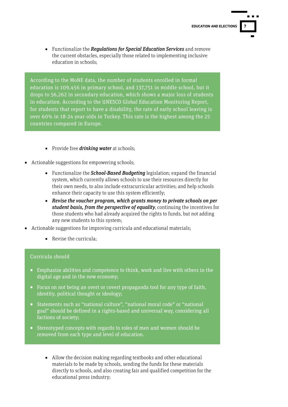■ Functionalize the Requiations for Special Education Services and remove the current obstacles, especially those related to implementing inclusive education in schools;

According to the MoNE data, the number of students enrolled in formal education is 109,456 in primary school, and 137,751 in middle school, but it drops to 56,262 in secondary education, which shows a major loss of students in education. According to the UNESCO Global Education Monitoring Report, for students that report to have a disability, the rate of early school leaving is over 60% in 18-24 year-olds in Turkey. This rate is the highest among the 25 countries compared in Europe.

- Provide free *drinking water* at schools;
- Actionable suggestions for empowering schools:
	- Functionalize the *School-Based Budgeting* legislation; expand the financial system, which currently allows schools to use their resources directly for their own needs, to also include extracurricular activities; and help schools enhance their capacity to use this system efficiently;
	- Revise the voucher program, which grants money to private schools on per student basis, from the perspective of equality, continuing the incentives for those students who had already acquired the rights to funds, but not adding any new students to this system;
- Actionable suggestions for improving curricula and educational materials;
	- Revise the curricula:

#### Curricula should

- Emphasize abilities and competence to think, work and live with others in the digital age and in the new economy;
- Focus on not being an overt or covert propaganda tool for any type of faith, identity, political thought or ideology;
- Statements such as "national culture", "national moral code" or "national goal" should be defined in a rights-based and universal way, considering all factions of society;
- Stereotyped concepts with regards to roles of men and women should be removed from each type and level of education.
	- Allow the decision making regarding textbooks and other educational materials to be made by schools, sending the funds for these materials directly to schools, and also creating fair and qualified competition for the educational press industry;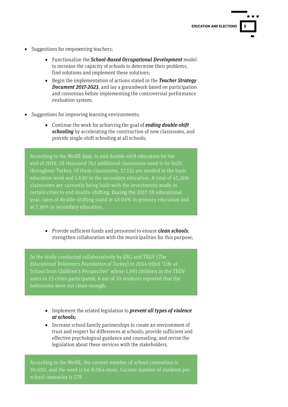- Suggestions for empowering teachers;
	- Functionalize the School-Based Occupational Development model to increase the capacity of schools to determine their problems, find solutions and implement these solutions;
	- Begin the implementation of actions stated in the Teacher Strategy Document 2017-2023, and lay a groundwork based on participation and consensus before implementing the controversial performance evaluation system;
- Suggestions for improving learning environments;
	- Continue the work for achieving the goal of **ending double-shift** schooling by accelerating the construction of new classrooms, and provide single-shift schooling at all schools;

According to the MoNE data, to end double-shift education by the end of 2019, 58 thousand 762 additional classrooms need to be built throughout Turkey. Of these classrooms, 57,132 are needed in the basic education level and 1,630 in the secondary education. A total of 45,306 classrooms are currently being built with the investments made in certain cities to end double-shifting. During the 2017-18 educational year, rates of double-shifting stand at 43.04% in primary education and at 7.36% in secondary education.

■ Provide sufficient funds and personnel to ensure *clean schools*; strengthen collaboration with the municipalities for this purpose;

In the study conducted collaboratively by ERG and TEGV (The Educational Volunteers Foundation of Turkey) in 2014 titled "Life at School from Children's Perspective" where 1,991 children in the TEGV units in 25 cities participated, 6 out of 10 students reported that the bathrooms were not clean enough.

- **■** Implement the related legislation to **prevent all types of violence** at schools;
- Increase school-family partnerships to create an environment of trust and respect for differences at schools; provide sufficient and effective psychological guidance and counseling; and revise the legislation about these services with the stakeholders.

According to the MoNE, the current number of school counselors is 30,650, and the need is for 8,064 more. Current number of students per school counselor is 578.